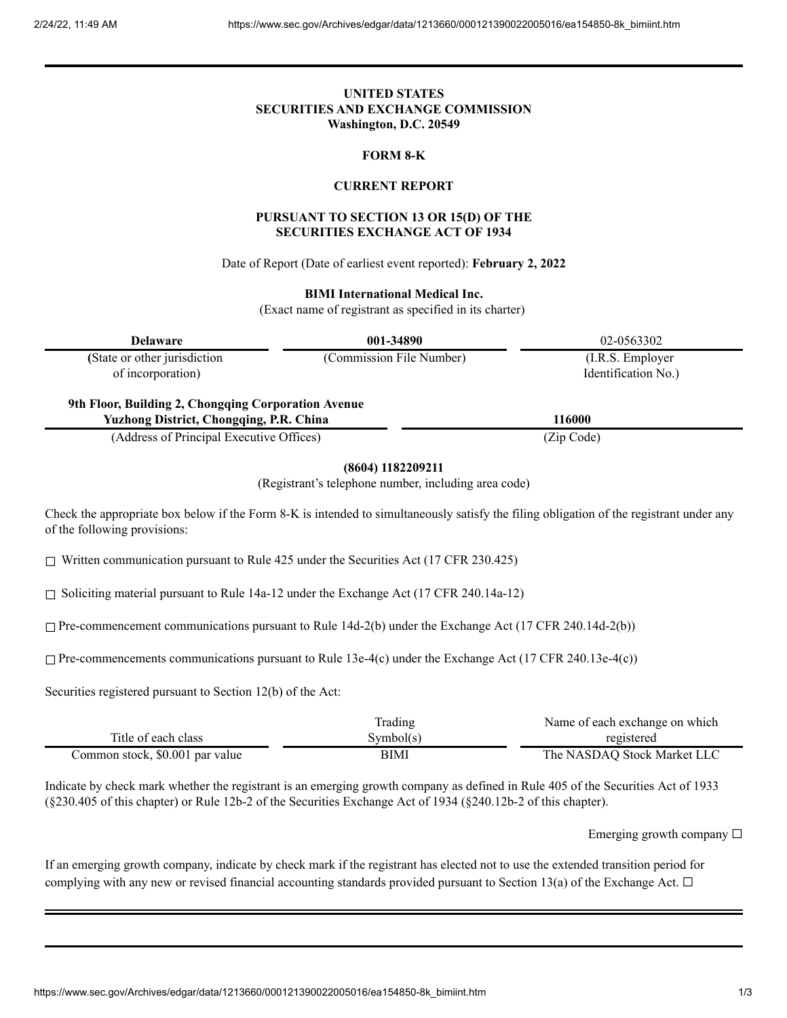# **UNITED STATES SECURITIES AND EXCHANGE COMMISSION Washington, D.C. 20549**

#### **FORM 8-K**

### **CURRENT REPORT**

### **PURSUANT TO SECTION 13 OR 15(D) OF THE SECURITIES EXCHANGE ACT OF 1934**

Date of Report (Date of earliest event reported): **February 2, 2022**

### **BIMI International Medical Inc.**

(Exact name of registrant as specified in its charter)

| <b>Delaware</b>                                    | 001-34890                | 02-0563302                               |
|----------------------------------------------------|--------------------------|------------------------------------------|
| (State or other jurisdiction)<br>of incorporation) | (Commission File Number) | (I.R.S. Employer)<br>Identification No.) |

**9th Floor, Building 2, Chongqing Corporation Avenue Yuzhong District, Chongqing, P.R. China 116000**

(Address of Principal Executive Offices) (Zip Code)

**(8604) 1182209211**

(Registrant's telephone number, including area code)

Check the appropriate box below if the Form 8-K is intended to simultaneously satisfy the filing obligation of the registrant under any of the following provisions:

 $\Box$  Written communication pursuant to Rule 425 under the Securities Act (17 CFR 230.425)

☐ Soliciting material pursuant to Rule 14a-12 under the Exchange Act (17 CFR 240.14a-12)

 $\Box$  Pre-commencement communications pursuant to Rule 14d-2(b) under the Exchange Act (17 CFR 240.14d-2(b))

 $\Box$  Pre-commencements communications pursuant to Rule 13e-4(c) under the Exchange Act (17 CFR 240.13e-4(c))

Securities registered pursuant to Section 12(b) of the Act:

|                                 | Trading   | Name of each exchange on which |
|---------------------------------|-----------|--------------------------------|
| Title of each class             | Symbol(s) | registered                     |
| Common stock, \$0.001 par value | BIMI      | The NASDAQ Stock Market LLC    |

Indicate by check mark whether the registrant is an emerging growth company as defined in Rule 405 of the Securities Act of 1933 (§230.405 of this chapter) or Rule 12b-2 of the Securities Exchange Act of 1934 (§240.12b-2 of this chapter).

Emerging growth company  $\Box$ 

If an emerging growth company, indicate by check mark if the registrant has elected not to use the extended transition period for complying with any new or revised financial accounting standards provided pursuant to Section 13(a) of the Exchange Act.  $\Box$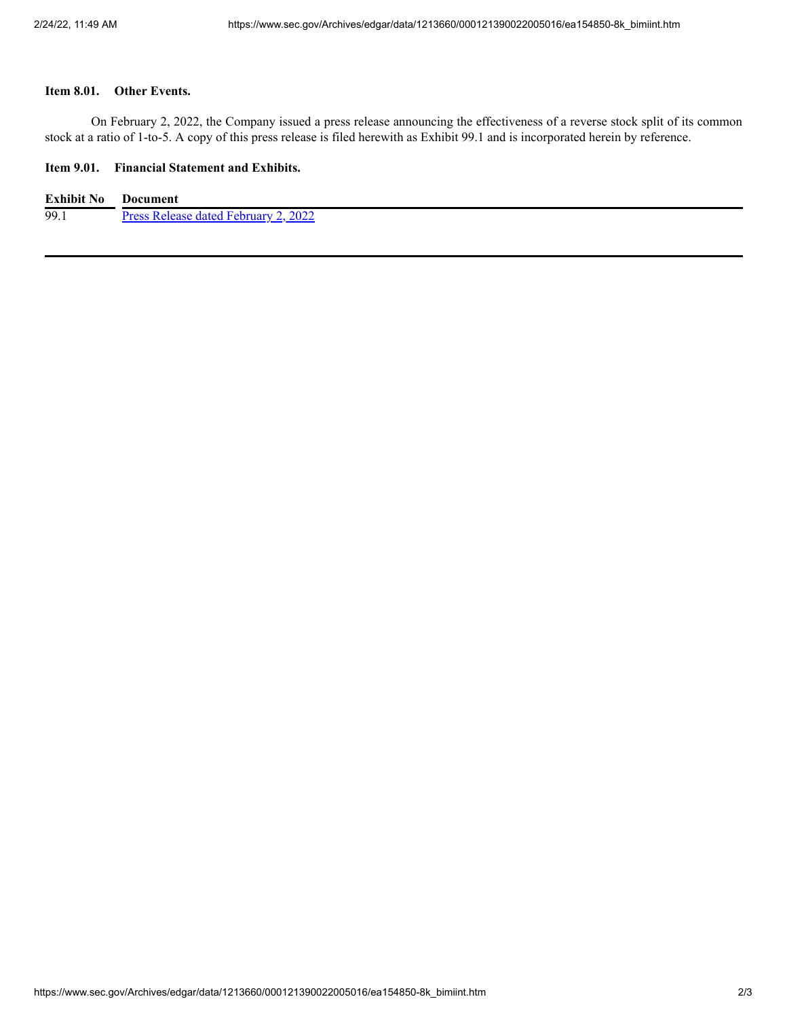#### **Item 8.01. Other Events.**

On February 2, 2022, the Company issued a press release announcing the effectiveness of a reverse stock split of its common stock at a ratio of 1-to-5. A copy of this press release is filed herewith as Exhibit 99.1 and is incorporated herein by reference.

### **Item 9.01. Financial Statement and Exhibits.**

| <b>Exhibit No</b> | <b>Document</b>                      |
|-------------------|--------------------------------------|
| 99.1              | Press Release dated February 2, 2022 |